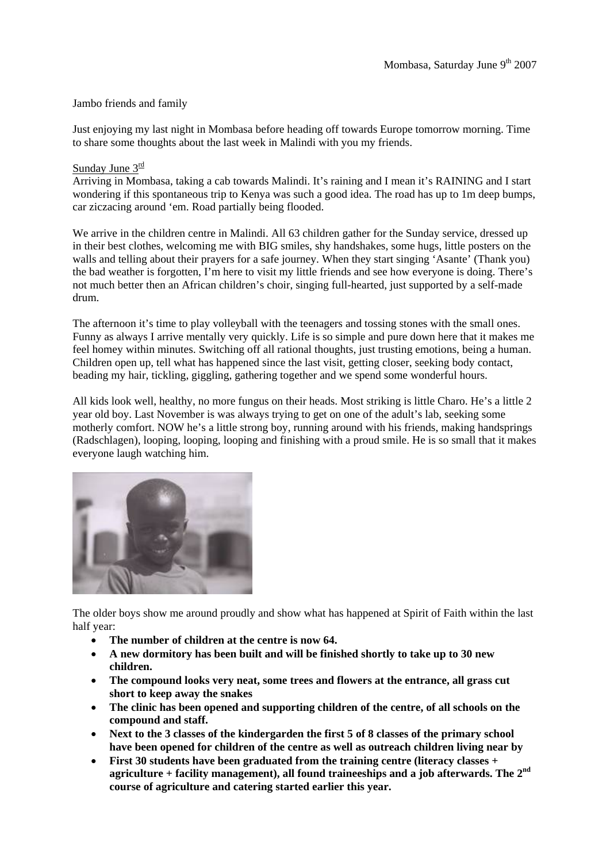### Jambo friends and family

Just enjoying my last night in Mombasa before heading off towards Europe tomorrow morning. Time to share some thoughts about the last week in Malindi with you my friends.

#### Sunday June  $3^{\underline{\text{rd}}}$

Arriving in Mombasa, taking a cab towards Malindi. It's raining and I mean it's RAINING and I start wondering if this spontaneous trip to Kenya was such a good idea. The road has up to 1m deep bumps, car ziczacing around 'em. Road partially being flooded.

We arrive in the children centre in Malindi. All 63 children gather for the Sunday service, dressed up in their best clothes, welcoming me with BIG smiles, shy handshakes, some hugs, little posters on the walls and telling about their prayers for a safe journey. When they start singing 'Asante' (Thank you) the bad weather is forgotten, I'm here to visit my little friends and see how everyone is doing. There's not much better then an African children's choir, singing full-hearted, just supported by a self-made drum.

The afternoon it's time to play volleyball with the teenagers and tossing stones with the small ones. Funny as always I arrive mentally very quickly. Life is so simple and pure down here that it makes me feel homey within minutes. Switching off all rational thoughts, just trusting emotions, being a human. Children open up, tell what has happened since the last visit, getting closer, seeking body contact, beading my hair, tickling, giggling, gathering together and we spend some wonderful hours.

All kids look well, healthy, no more fungus on their heads. Most striking is little Charo. He's a little 2 year old boy. Last November is was always trying to get on one of the adult's lab, seeking some motherly comfort. NOW he's a little strong boy, running around with his friends, making handsprings (Radschlagen), looping, looping, looping and finishing with a proud smile. He is so small that it makes everyone laugh watching him.



The older boys show me around proudly and show what has happened at Spirit of Faith within the last half year:

- **The number of children at the centre is now 64.**
- **A new dormitory has been built and will be finished shortly to take up to 30 new children.**
- **The compound looks very neat, some trees and flowers at the entrance, all grass cut short to keep away the snakes**
- **The clinic has been opened and supporting children of the centre, of all schools on the compound and staff.**
- **Next to the 3 classes of the kindergarden the first 5 of 8 classes of the primary school have been opened for children of the centre as well as outreach children living near by**
- **First 30 students have been graduated from the training centre (literacy classes + agriculture + facility management), all found traineeships and a job afterwards. The 2nd course of agriculture and catering started earlier this year.**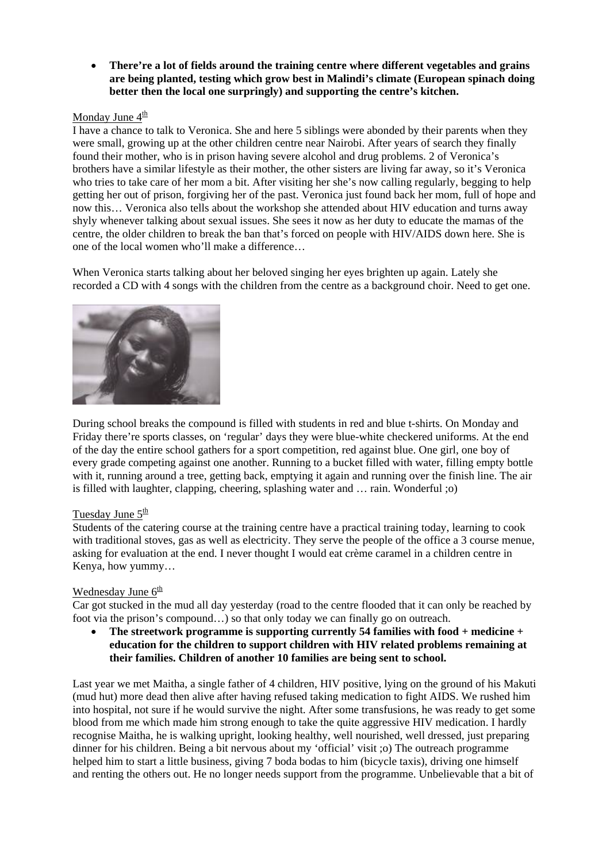• **There're a lot of fields around the training centre where different vegetables and grains are being planted, testing which grow best in Malindi's climate (European spinach doing better then the local one surpringly) and supporting the centre's kitchen.** 

## Monday June  $4^{\underline{th}}$

I have a chance to talk to Veronica. She and here 5 siblings were abonded by their parents when they were small, growing up at the other children centre near Nairobi. After years of search they finally found their mother, who is in prison having severe alcohol and drug problems. 2 of Veronica's brothers have a similar lifestyle as their mother, the other sisters are living far away, so it's Veronica who tries to take care of her mom a bit. After visiting her she's now calling regularly, begging to help getting her out of prison, forgiving her of the past. Veronica just found back her mom, full of hope and now this… Veronica also tells about the workshop she attended about HIV education and turns away shyly whenever talking about sexual issues. She sees it now as her duty to educate the mamas of the centre, the older children to break the ban that's forced on people with HIV/AIDS down here. She is one of the local women who'll make a difference…

When Veronica starts talking about her beloved singing her eyes brighten up again. Lately she recorded a CD with 4 songs with the children from the centre as a background choir. Need to get one.



During school breaks the compound is filled with students in red and blue t-shirts. On Monday and Friday there're sports classes, on 'regular' days they were blue-white checkered uniforms. At the end of the day the entire school gathers for a sport competition, red against blue. One girl, one boy of every grade competing against one another. Running to a bucket filled with water, filling empty bottle with it, running around a tree, getting back, emptying it again and running over the finish line. The air is filled with laughter, clapping, cheering, splashing water and … rain. Wonderful ;o)

### Tuesday June  $5<sup>th</sup>$

Students of the catering course at the training centre have a practical training today, learning to cook with traditional stoves, gas as well as electricity. They serve the people of the office a 3 course menue, asking for evaluation at the end. I never thought I would eat crème caramel in a children centre in Kenya, how yummy…

### Wednesday June  $6<sup>th</sup>$

Car got stucked in the mud all day yesterday (road to the centre flooded that it can only be reached by foot via the prison's compound…) so that only today we can finally go on outreach.

• **The streetwork programme is supporting currently 54 families with food + medicine + education for the children to support children with HIV related problems remaining at their families. Children of another 10 families are being sent to school.** 

Last year we met Maitha, a single father of 4 children, HIV positive, lying on the ground of his Makuti (mud hut) more dead then alive after having refused taking medication to fight AIDS. We rushed him into hospital, not sure if he would survive the night. After some transfusions, he was ready to get some blood from me which made him strong enough to take the quite aggressive HIV medication. I hardly recognise Maitha, he is walking upright, looking healthy, well nourished, well dressed, just preparing dinner for his children. Being a bit nervous about my 'official' visit ;o) The outreach programme helped him to start a little business, giving 7 boda bodas to him (bicycle taxis), driving one himself and renting the others out. He no longer needs support from the programme. Unbelievable that a bit of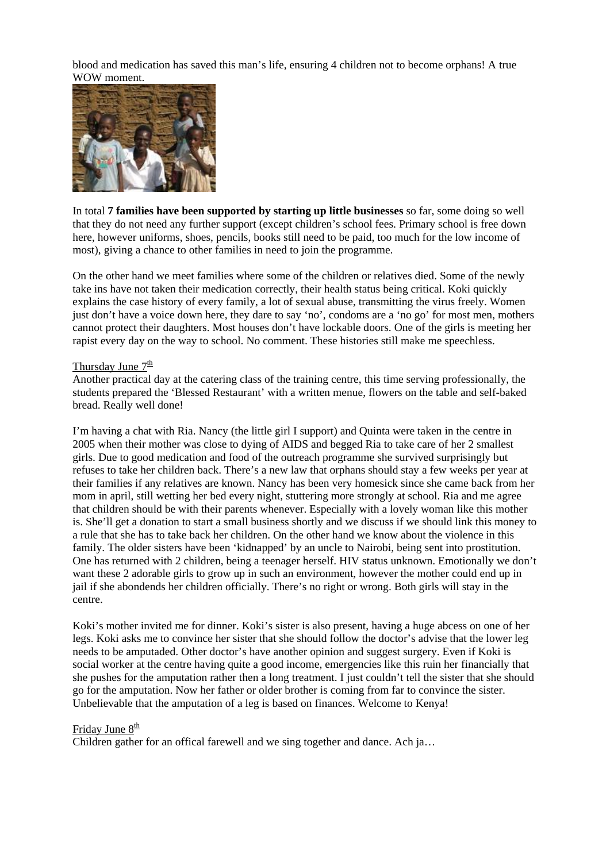blood and medication has saved this man's life, ensuring 4 children not to become orphans! A true WOW moment.



In total **7 families have been supported by starting up little businesses** so far, some doing so well that they do not need any further support (except children's school fees. Primary school is free down here, however uniforms, shoes, pencils, books still need to be paid, too much for the low income of most), giving a chance to other families in need to join the programme.

On the other hand we meet families where some of the children or relatives died. Some of the newly take ins have not taken their medication correctly, their health status being critical. Koki quickly explains the case history of every family, a lot of sexual abuse, transmitting the virus freely. Women just don't have a voice down here, they dare to say 'no', condoms are a 'no go' for most men, mothers cannot protect their daughters. Most houses don't have lockable doors. One of the girls is meeting her rapist every day on the way to school. No comment. These histories still make me speechless.

#### Thursday June  $7^{\underline{th}}$

Another practical day at the catering class of the training centre, this time serving professionally, the students prepared the 'Blessed Restaurant' with a written menue, flowers on the table and self-baked bread. Really well done!

I'm having a chat with Ria. Nancy (the little girl I support) and Quinta were taken in the centre in 2005 when their mother was close to dying of AIDS and begged Ria to take care of her 2 smallest girls. Due to good medication and food of the outreach programme she survived surprisingly but refuses to take her children back. There's a new law that orphans should stay a few weeks per year at their families if any relatives are known. Nancy has been very homesick since she came back from her mom in april, still wetting her bed every night, stuttering more strongly at school. Ria and me agree that children should be with their parents whenever. Especially with a lovely woman like this mother is. She'll get a donation to start a small business shortly and we discuss if we should link this money to a rule that she has to take back her children. On the other hand we know about the violence in this family. The older sisters have been 'kidnapped' by an uncle to Nairobi, being sent into prostitution. One has returned with 2 children, being a teenager herself. HIV status unknown. Emotionally we don't want these 2 adorable girls to grow up in such an environment, however the mother could end up in jail if she abondends her children officially. There's no right or wrong. Both girls will stay in the centre.

Koki's mother invited me for dinner. Koki's sister is also present, having a huge abcess on one of her legs. Koki asks me to convince her sister that she should follow the doctor's advise that the lower leg needs to be amputaded. Other doctor's have another opinion and suggest surgery. Even if Koki is social worker at the centre having quite a good income, emergencies like this ruin her financially that she pushes for the amputation rather then a long treatment. I just couldn't tell the sister that she should go for the amputation. Now her father or older brother is coming from far to convince the sister. Unbelievable that the amputation of a leg is based on finances. Welcome to Kenya!

#### Friday June  $8^{\text{th}}$

Children gather for an offical farewell and we sing together and dance. Ach ja…